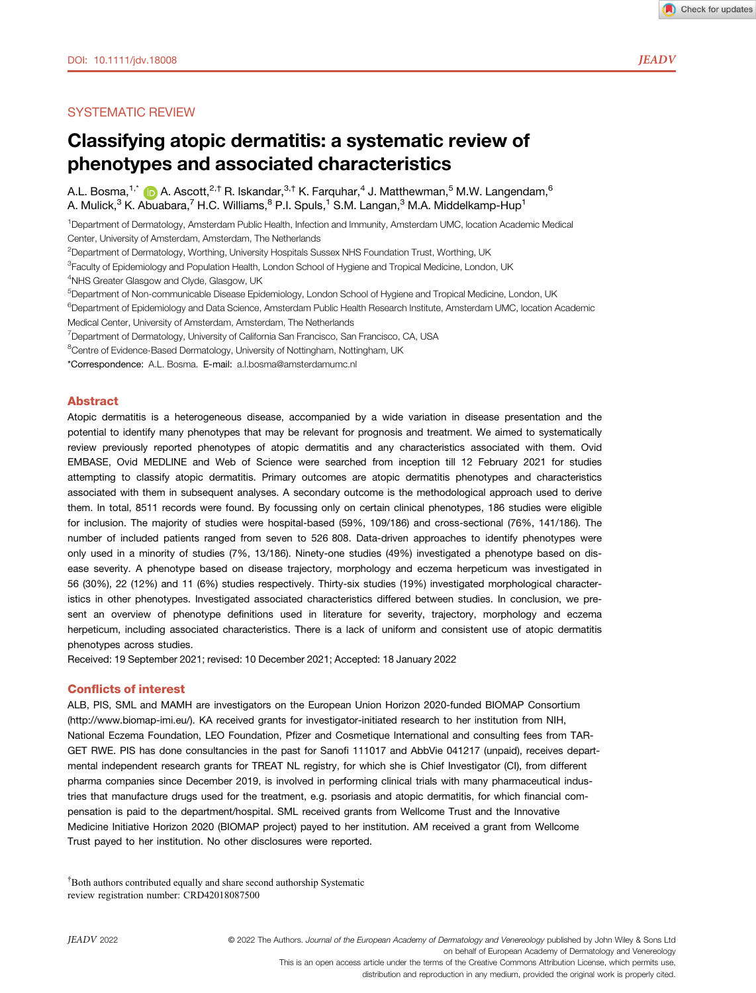# SYSTEMATIC REVIEW

# Classifying atopic dermatitis: a systematic review of phenotypes and associated characteristics

A.L. Bosma, <sup>1,[\\*](https://orcid.org/0000-0001-6807-6042)</sup>  $\bullet$  A. Ascott,  $2.5$  R. Iskandar,  $3.5$  K. Farquhar,  $4$  J. Matthewman,  $5$  M.W. Langendam,  $6$ A. Mulick,<sup>3</sup> K. Abuabara,<sup>7</sup> H.C. Williams, <sup>8</sup> P.I. Spuls, <sup>1</sup> S.M. Langan, <sup>3</sup> M.A. Middelkamp-Hup<sup>1</sup>

1 Department of Dermatology, Amsterdam Public Health, Infection and Immunity, Amsterdam UMC, location Academic Medical Center, University of Amsterdam, Amsterdam, The Netherlands

<sup>2</sup>Department of Dermatology, Worthing, University Hospitals Sussex NHS Foundation Trust, Worthing, UK

<sup>3</sup>Faculty of Epidemiology and Population Health, London School of Hygiene and Tropical Medicine, London, UK

4 NHS Greater Glasgow and Clyde, Glasgow, UK

5 Department of Non-communicable Disease Epidemiology, London School of Hygiene and Tropical Medicine, London, UK

<sup>6</sup>Department of Epidemiology and Data Science, Amsterdam Public Health Research Institute, Amsterdam UMC, location Academic Medical Center, University of Amsterdam, Amsterdam, The Netherlands

<sup>7</sup>Department of Dermatology, University of California San Francisco, San Francisco, CA, USA

<sup>8</sup>Centre of Evidence-Based Dermatology, University of Nottingham, Nottingham, UK

\*Correspondence: A.L. Bosma. E-mail: [a.l.bosma@amsterdamumc.nl](mailto:)

# Abstract

Atopic dermatitis is a heterogeneous disease, accompanied by a wide variation in disease presentation and the potential to identify many phenotypes that may be relevant for prognosis and treatment. We aimed to systematically review previously reported phenotypes of atopic dermatitis and any characteristics associated with them. Ovid EMBASE, Ovid MEDLINE and Web of Science were searched from inception till 12 February 2021 for studies attempting to classify atopic dermatitis. Primary outcomes are atopic dermatitis phenotypes and characteristics associated with them in subsequent analyses. A secondary outcome is the methodological approach used to derive them. In total, 8511 records were found. By focussing only on certain clinical phenotypes, 186 studies were eligible for inclusion. The majority of studies were hospital-based (59%, 109/186) and cross-sectional (76%, 141/186). The number of included patients ranged from seven to 526 808. Data-driven approaches to identify phenotypes were only used in a minority of studies (7%, 13/186). Ninety-one studies (49%) investigated a phenotype based on disease severity. A phenotype based on disease trajectory, morphology and eczema herpeticum was investigated in 56 (30%), 22 (12%) and 11 (6%) studies respectively. Thirty-six studies (19%) investigated morphological characteristics in other phenotypes. Investigated associated characteristics differed between studies. In conclusion, we present an overview of phenotype definitions used in literature for severity, trajectory, morphology and eczema herpeticum, including associated characteristics. There is a lack of uniform and consistent use of atopic dermatitis phenotypes across studies.

Received: 19 September 2021; revised: 10 December 2021; Accepted: 18 January 2022

### Conflicts of interest

ALB, PIS, SML and MAMH are investigators on the European Union Horizon 2020-funded BIOMAP Consortium [\(http://www.biomap-imi.eu/\)](http://www.biomap-imi.eu/). KA received grants for investigator-initiated research to her institution from NIH, National Eczema Foundation, LEO Foundation, Pfizer and Cosmetique International and consulting fees from TAR-GET RWE. PIS has done consultancies in the past for Sanofi 111017 and AbbVie 041217 (unpaid), receives departmental independent research grants for TREAT NL registry, for which she is Chief Investigator (CI), from different pharma companies since December 2019, is involved in performing clinical trials with many pharmaceutical industries that manufacture drugs used for the treatment, e.g. psoriasis and atopic dermatitis, for which financial compensation is paid to the department/hospital. SML received grants from Wellcome Trust and the Innovative Medicine Initiative Horizon 2020 (BIOMAP project) payed to her institution. AM received a grant from Wellcome Trust payed to her institution. No other disclosures were reported.

† Both authors contributed equally and share second authorship Systematic review registration number: CRD42018087500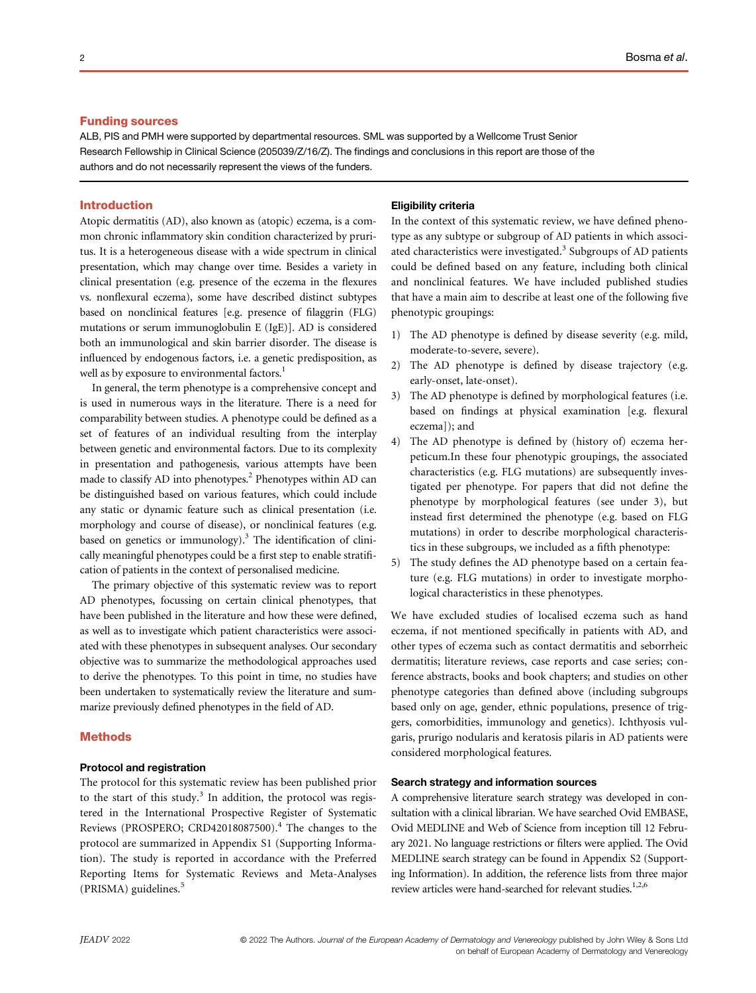# Funding sources

ALB, PIS and PMH were supported by departmental resources. SML was supported by a Wellcome Trust Senior Research Fellowship in Clinical Science (205039/Z/16/Z). The findings and conclusions in this report are those of the authors and do not necessarily represent the views of the funders.

# Introduction

Atopic dermatitis (AD), also known as (atopic) eczema, is a common chronic inflammatory skin condition characterized by pruritus. It is a heterogeneous disease with a wide spectrum in clinical presentation, which may change over time. Besides a variety in clinical presentation (e.g. presence of the eczema in the flexures vs. nonflexural eczema), some have described distinct subtypes based on nonclinical features [e.g. presence of filaggrin (FLG) mutations or serum immunoglobulin E (IgE)]. AD is considered both an immunological and skin barrier disorder. The disease is influenced by endogenous factors, i.e. a genetic predisposition, as well as by exposure to environmental factors.<sup>1</sup>

In general, the term phenotype is a comprehensive concept and is used in numerous ways in the literature. There is a need for comparability between studies. A phenotype could be defined as a set of features of an individual resulting from the interplay between genetic and environmental factors. Due to its complexity in presentation and pathogenesis, various attempts have been made to classify AD into phenotypes.<sup>2</sup> Phenotypes within AD can be distinguished based on various features, which could include any static or dynamic feature such as clinical presentation (i.e. morphology and course of disease), or nonclinical features (e.g. based on genetics or immunology). $3$  The identification of clinically meaningful phenotypes could be a first step to enable stratification of patients in the context of personalised medicine.

The primary objective of this systematic review was to report AD phenotypes, focussing on certain clinical phenotypes, that have been published in the literature and how these were defined, as well as to investigate which patient characteristics were associated with these phenotypes in subsequent analyses. Our secondary objective was to summarize the methodological approaches used to derive the phenotypes. To this point in time, no studies have been undertaken to systematically review the literature and summarize previously defined phenotypes in the field of AD.

### **Methods**

### Protocol and registration

The protocol for this systematic review has been published prior to the start of this study.<sup>3</sup> In addition, the protocol was registered in the International Prospective Register of Systematic Reviews (PROSPERO; CRD42018087500).<sup>4</sup> The changes to the protocol are summarized in Appendix S1 (Supporting Information). The study is reported in accordance with the Preferred Reporting Items for Systematic Reviews and Meta-Analyses (PRISMA) guidelines.<sup>5</sup>

### Eligibility criteria

In the context of this systematic review, we have defined phenotype as any subtype or subgroup of AD patients in which associated characteristics were investigated.<sup>3</sup> Subgroups of AD patients could be defined based on any feature, including both clinical and nonclinical features. We have included published studies that have a main aim to describe at least one of the following five phenotypic groupings:

- 1) The AD phenotype is defined by disease severity (e.g. mild, moderate-to-severe, severe).
- 2) The AD phenotype is defined by disease trajectory (e.g. early-onset, late-onset).
- 3) The AD phenotype is defined by morphological features (i.e. based on findings at physical examination [e.g. flexural eczema]); and
- 4) The AD phenotype is defined by (history of) eczema herpeticum.In these four phenotypic groupings, the associated characteristics (e.g. FLG mutations) are subsequently investigated per phenotype. For papers that did not define the phenotype by morphological features (see under 3), but instead first determined the phenotype (e.g. based on FLG mutations) in order to describe morphological characteristics in these subgroups, we included as a fifth phenotype:
- 5) The study defines the AD phenotype based on a certain feature (e.g. FLG mutations) in order to investigate morphological characteristics in these phenotypes.

We have excluded studies of localised eczema such as hand eczema, if not mentioned specifically in patients with AD, and other types of eczema such as contact dermatitis and seborrheic dermatitis; literature reviews, case reports and case series; conference abstracts, books and book chapters; and studies on other phenotype categories than defined above (including subgroups based only on age, gender, ethnic populations, presence of triggers, comorbidities, immunology and genetics). Ichthyosis vulgaris, prurigo nodularis and keratosis pilaris in AD patients were considered morphological features.

### Search strategy and information sources

A comprehensive literature search strategy was developed in consultation with a clinical librarian. We have searched Ovid EMBASE, Ovid MEDLINE and Web of Science from inception till 12 February 2021. No language restrictions or filters were applied. The Ovid MEDLINE search strategy can be found in Appendix S2 (Supporting Information). In addition, the reference lists from three major review articles were hand-searched for relevant studies.<sup>1,2,6</sup>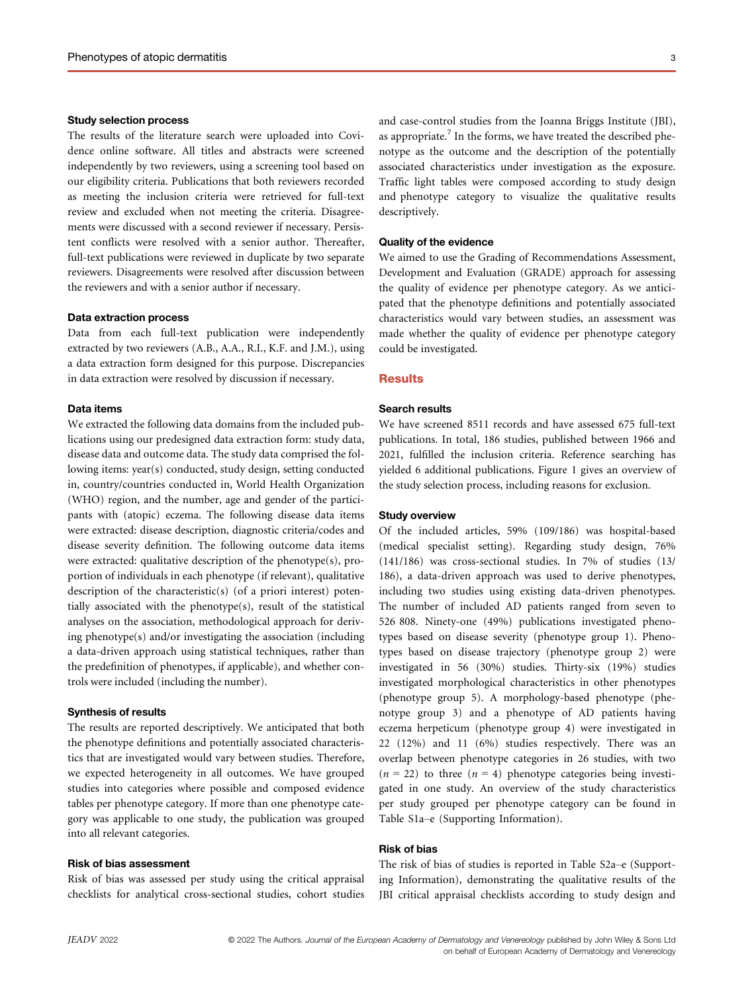### Study selection process

The results of the literature search were uploaded into Covidence online software. All titles and abstracts were screened independently by two reviewers, using a screening tool based on our eligibility criteria. Publications that both reviewers recorded as meeting the inclusion criteria were retrieved for full-text review and excluded when not meeting the criteria. Disagreements were discussed with a second reviewer if necessary. Persistent conflicts were resolved with a senior author. Thereafter, full-text publications were reviewed in duplicate by two separate reviewers. Disagreements were resolved after discussion between the reviewers and with a senior author if necessary.

# Data extraction process

Data from each full-text publication were independently extracted by two reviewers (A.B., A.A., R.I., K.F. and J.M.), using a data extraction form designed for this purpose. Discrepancies in data extraction were resolved by discussion if necessary.

# Data items

We extracted the following data domains from the included publications using our predesigned data extraction form: study data, disease data and outcome data. The study data comprised the following items: year(s) conducted, study design, setting conducted in, country/countries conducted in, World Health Organization (WHO) region, and the number, age and gender of the participants with (atopic) eczema. The following disease data items were extracted: disease description, diagnostic criteria/codes and disease severity definition. The following outcome data items were extracted: qualitative description of the phenotype(s), proportion of individuals in each phenotype (if relevant), qualitative description of the characteristic(s) (of a priori interest) potentially associated with the phenotype(s), result of the statistical analyses on the association, methodological approach for deriving phenotype(s) and/or investigating the association (including a data-driven approach using statistical techniques, rather than the predefinition of phenotypes, if applicable), and whether controls were included (including the number).

### Synthesis of results

The results are reported descriptively. We anticipated that both the phenotype definitions and potentially associated characteristics that are investigated would vary between studies. Therefore, we expected heterogeneity in all outcomes. We have grouped studies into categories where possible and composed evidence tables per phenotype category. If more than one phenotype category was applicable to one study, the publication was grouped into all relevant categories.

### Risk of bias assessment

Risk of bias was assessed per study using the critical appraisal checklists for analytical cross-sectional studies, cohort studies

and case-control studies from the Joanna Briggs Institute (JBI), as appropriate.<sup>7</sup> In the forms, we have treated the described phenotype as the outcome and the description of the potentially associated characteristics under investigation as the exposure. Traffic light tables were composed according to study design and phenotype category to visualize the qualitative results descriptively.

# Quality of the evidence

We aimed to use the Grading of Recommendations Assessment, Development and Evaluation (GRADE) approach for assessing the quality of evidence per phenotype category. As we anticipated that the phenotype definitions and potentially associated characteristics would vary between studies, an assessment was made whether the quality of evidence per phenotype category could be investigated.

### **Results**

# Search results

We have screened 8511 records and have assessed 675 full-text publications. In total, 186 studies, published between 1966 and 2021, fulfilled the inclusion criteria. Reference searching has yielded 6 additional publications. Figure 1 gives an overview of the study selection process, including reasons for exclusion.

### Study overview

Of the included articles, 59% (109/186) was hospital-based (medical specialist setting). Regarding study design, 76% (141/186) was cross-sectional studies. In 7% of studies (13/ 186), a data-driven approach was used to derive phenotypes, including two studies using existing data-driven phenotypes. The number of included AD patients ranged from seven to 526 808. Ninety-one (49%) publications investigated phenotypes based on disease severity (phenotype group 1). Phenotypes based on disease trajectory (phenotype group 2) were investigated in 56 (30%) studies. Thirty-six (19%) studies investigated morphological characteristics in other phenotypes (phenotype group 5). A morphology-based phenotype (phenotype group 3) and a phenotype of AD patients having eczema herpeticum (phenotype group 4) were investigated in 22 (12%) and 11 (6%) studies respectively. There was an overlap between phenotype categories in 26 studies, with two  $(n = 22)$  to three  $(n = 4)$  phenotype categories being investigated in one study. An overview of the study characteristics per study grouped per phenotype category can be found in Table S1a–e (Supporting Information).

# Risk of bias

The risk of bias of studies is reported in Table S2a–e (Supporting Information), demonstrating the qualitative results of the JBI critical appraisal checklists according to study design and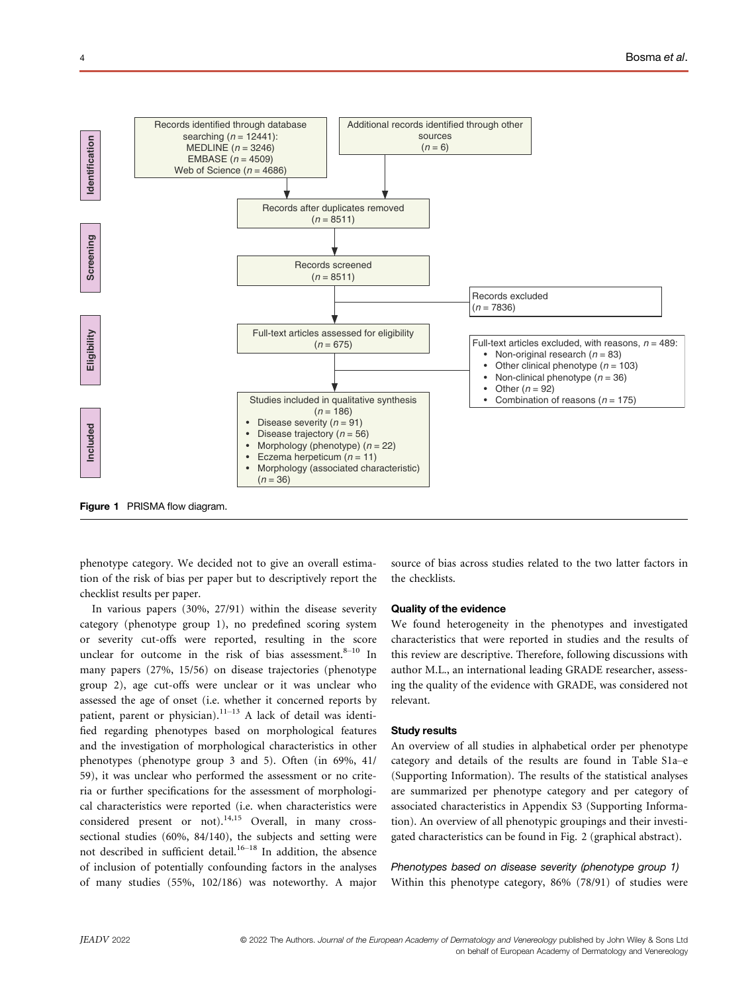

phenotype category. We decided not to give an overall estimation of the risk of bias per paper but to descriptively report the checklist results per paper.

In various papers (30%, 27/91) within the disease severity category (phenotype group 1), no predefined scoring system or severity cut-offs were reported, resulting in the score unclear for outcome in the risk of bias assessment. $8-10$  In many papers (27%, 15/56) on disease trajectories (phenotype group 2), age cut-offs were unclear or it was unclear who assessed the age of onset (i.e. whether it concerned reports by patient, parent or physician).<sup>11-13</sup> A lack of detail was identified regarding phenotypes based on morphological features and the investigation of morphological characteristics in other phenotypes (phenotype group 3 and 5). Often (in 69%, 41/ 59), it was unclear who performed the assessment or no criteria or further specifications for the assessment of morphological characteristics were reported (i.e. when characteristics were considered present or not).14,15 Overall, in many crosssectional studies (60%, 84/140), the subjects and setting were not described in sufficient detail.<sup>16–18</sup> In addition, the absence of inclusion of potentially confounding factors in the analyses of many studies (55%, 102/186) was noteworthy. A major source of bias across studies related to the two latter factors in the checklists.

### Quality of the evidence

We found heterogeneity in the phenotypes and investigated characteristics that were reported in studies and the results of this review are descriptive. Therefore, following discussions with author M.L., an international leading GRADE researcher, assessing the quality of the evidence with GRADE, was considered not relevant.

### Study results

An overview of all studies in alphabetical order per phenotype category and details of the results are found in Table S1a–e (Supporting Information). The results of the statistical analyses are summarized per phenotype category and per category of associated characteristics in Appendix S3 (Supporting Information). An overview of all phenotypic groupings and their investigated characteristics can be found in Fig. 2 (graphical abstract).

Phenotypes based on disease severity (phenotype group 1) Within this phenotype category, 86% (78/91) of studies were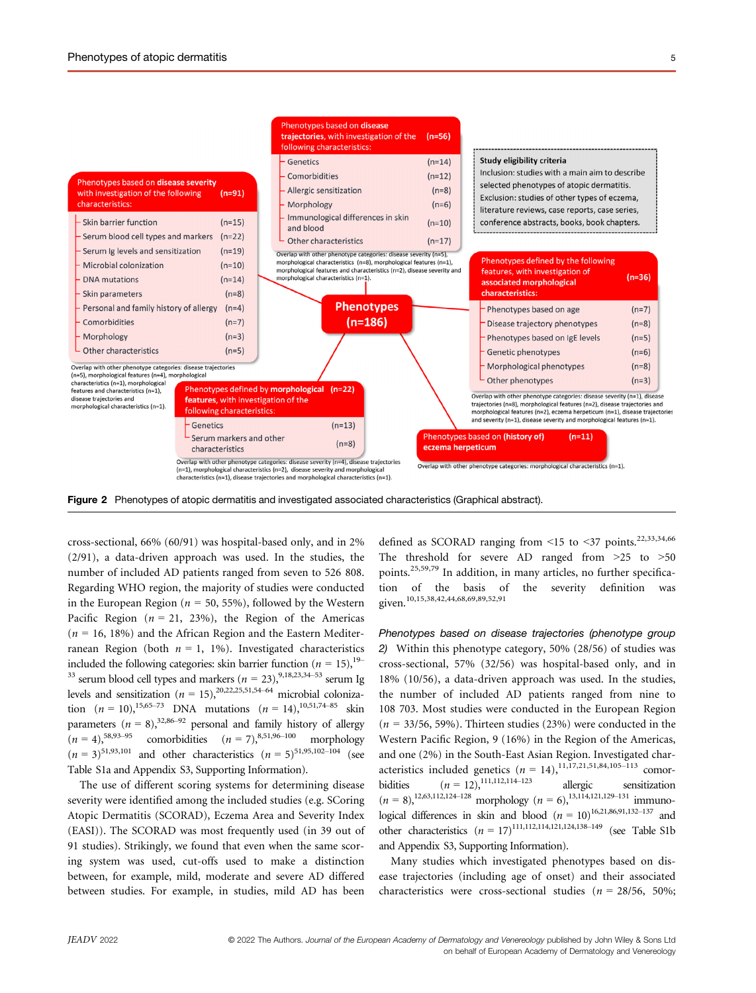



Phenotypes based on disease

following characteristics:

Genetics



cross-sectional, 66% (60/91) was hospital-based only, and in 2% (2/91), a data-driven approach was used. In the studies, the number of included AD patients ranged from seven to 526 808. Regarding WHO region, the majority of studies were conducted in the European Region ( $n = 50, 55\%$ ), followed by the Western Pacific Region ( $n = 21, 23\%$ ), the Region of the Americas  $(n = 16, 18\%)$  and the African Region and the Eastern Mediterranean Region (both  $n = 1$ , 1%). Investigated characteristics included the following categories: skin barrier function ( $n = 15$ ), <sup>19–</sup> <sup>33</sup> serum blood cell types and markers ( $n = 23$ ), <sup>9,18,23,34–53</sup> serum Ig levels and sensitization ( $n = 15$ ),<sup>20,22,25,51,54–64</sup> microbial colonization  $(n = 10)$ , <sup>15,65–73</sup> DNA mutations  $(n = 14)$ , <sup>10,51,74–85</sup> skin parameters  $(n = 8)$ ,<sup>32,86–92</sup> personal and family history of allergy  $(n = 4)$ ,<sup>58,93–95</sup> comorbidities  $(n = 7)$ .<sup>8,51,96–100</sup> morphology comorbidities  $(n = 7)$ ,<sup>8,51,96–100</sup> morphology  $(n = 3)^{51,93,101}$  and other characteristics  $(n = 5)^{51,95,102-104}$  (see Table S1a and Appendix S3, Supporting Information).

The use of different scoring systems for determining disease severity were identified among the included studies (e.g. SCoring Atopic Dermatitis (SCORAD), Eczema Area and Severity Index (EASI)). The SCORAD was most frequently used (in 39 out of 91 studies). Strikingly, we found that even when the same scoring system was used, cut-offs used to make a distinction between, for example, mild, moderate and severe AD differed between studies. For example, in studies, mild AD has been defined as SCORAD ranging from <15 to <37 points.<sup>22,33,34,66</sup> The threshold for severe AD ranged from >25 to >50 points.25,59,79 In addition, in many articles, no further specification of the basis of the severity definition was given.10,15,38,42,44,68,69,89,52,91

Phenotypes based on disease trajectories (phenotype group 2) Within this phenotype category, 50% (28/56) of studies was cross-sectional, 57% (32/56) was hospital-based only, and in 18% (10/56), a data-driven approach was used. In the studies, the number of included AD patients ranged from nine to 108 703. Most studies were conducted in the European Region  $(n = 33/56, 59\%)$ . Thirteen studies (23%) were conducted in the Western Pacific Region, 9 (16%) in the Region of the Americas, and one (2%) in the South-East Asian Region. Investigated characteristics included genetics  $(n = 14)$ ,  $^{11,17,21,51,84,105-113}$  comorbidities  $(n = 12)$ ,<sup>111,112,114–123</sup> allergic sensitization  $(n = 8)$ ,<sup>12,63,112,124–128</sup> morphology  $(n = 6)$ ,<sup>13,114,121,129–131</sup> immunological differences in skin and blood ( $n = 10$ )<sup>16,21,86,91,132–137</sup> and other characteristics  $(n = 17)^{111,112,114,121,124,138-149}$  (see Table S1b and Appendix S3, Supporting Information).

Many studies which investigated phenotypes based on disease trajectories (including age of onset) and their associated characteristics were cross-sectional studies ( $n = 28/56$ , 50%;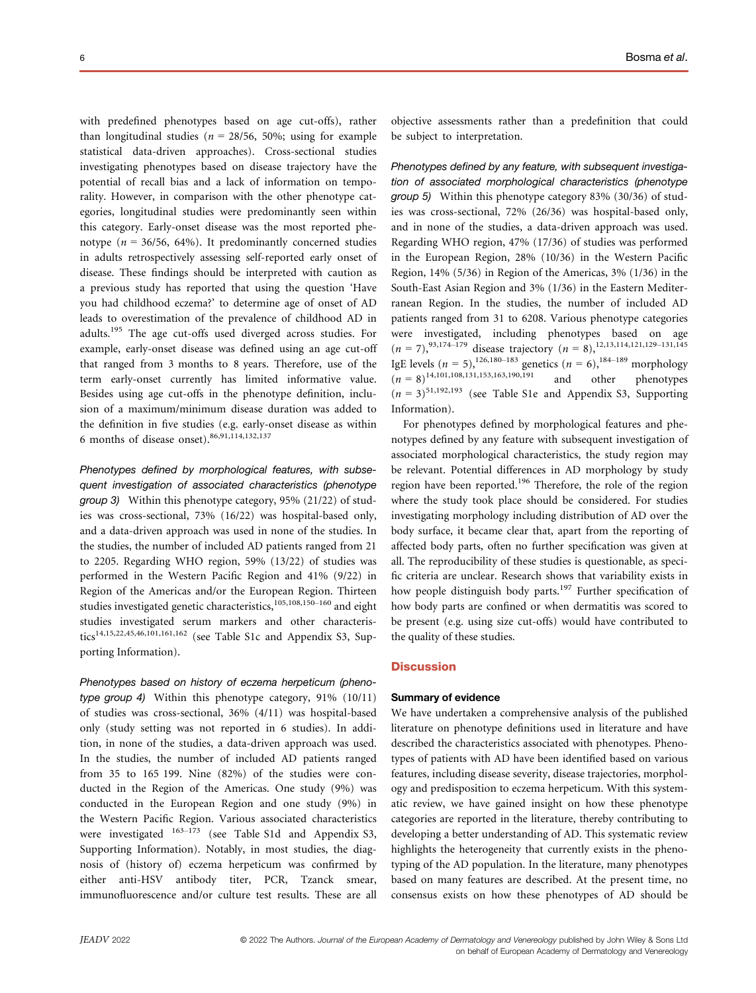with predefined phenotypes based on age cut-offs), rather than longitudinal studies ( $n = 28/56$ , 50%; using for example statistical data-driven approaches). Cross-sectional studies investigating phenotypes based on disease trajectory have the potential of recall bias and a lack of information on temporality. However, in comparison with the other phenotype categories, longitudinal studies were predominantly seen within this category. Early-onset disease was the most reported phenotype ( $n = 36/56$ , 64%). It predominantly concerned studies in adults retrospectively assessing self-reported early onset of disease. These findings should be interpreted with caution as a previous study has reported that using the question 'Have you had childhood eczema?' to determine age of onset of AD leads to overestimation of the prevalence of childhood AD in adults.<sup>195</sup> The age cut-offs used diverged across studies. For example, early-onset disease was defined using an age cut-off that ranged from 3 months to 8 years. Therefore, use of the term early-onset currently has limited informative value. Besides using age cut-offs in the phenotype definition, inclusion of a maximum/minimum disease duration was added to the definition in five studies (e.g. early-onset disease as within 6 months of disease onset).  $86,91,114,132,137$ 

Phenotypes defined by morphological features, with subsequent investigation of associated characteristics (phenotype group 3) Within this phenotype category, 95% (21/22) of studies was cross-sectional, 73% (16/22) was hospital-based only, and a data-driven approach was used in none of the studies. In the studies, the number of included AD patients ranged from 21 to 2205. Regarding WHO region, 59% (13/22) of studies was performed in the Western Pacific Region and 41% (9/22) in Region of the Americas and/or the European Region. Thirteen studies investigated genetic characteristics,<sup>105,108,150-160</sup> and eight studies investigated serum markers and other characteristics<sup>14,15,22,45,46,101,161,162</sup> (see Table S1c and Appendix S3, Supporting Information).

Phenotypes based on history of eczema herpeticum (phenotype group 4) Within this phenotype category, 91% (10/11) of studies was cross-sectional, 36% (4/11) was hospital-based only (study setting was not reported in 6 studies). In addition, in none of the studies, a data-driven approach was used. In the studies, the number of included AD patients ranged from 35 to 165 199. Nine (82%) of the studies were conducted in the Region of the Americas. One study (9%) was conducted in the European Region and one study (9%) in the Western Pacific Region. Various associated characteristics were investigated  $163-173$  (see Table S1d and Appendix S3, Supporting Information). Notably, in most studies, the diagnosis of (history of) eczema herpeticum was confirmed by either anti-HSV antibody titer, PCR, Tzanck smear, immunofluorescence and/or culture test results. These are all objective assessments rather than a predefinition that could be subject to interpretation.

Phenotypes defined by any feature, with subsequent investigation of associated morphological characteristics (phenotype group 5) Within this phenotype category 83% (30/36) of studies was cross-sectional, 72% (26/36) was hospital-based only, and in none of the studies, a data-driven approach was used. Regarding WHO region, 47% (17/36) of studies was performed in the European Region, 28% (10/36) in the Western Pacific Region, 14% (5/36) in Region of the Americas, 3% (1/36) in the South-East Asian Region and 3% (1/36) in the Eastern Mediterranean Region. In the studies, the number of included AD patients ranged from 31 to 6208. Various phenotype categories were investigated, including phenotypes based on age  $(n = 7)$ ,  $^{93,174-179}$  disease trajectory  $(n = 8)$ ,  $^{12,13,114,121,129-131,145}$ IgE levels  $(n = 5)$ , <sup>126, 180–183</sup> genetics  $(n = 6)$ , <sup>184–189</sup> morphology  $(n = 8)^{14,101,108,131,153,163,190,191}$  and other phenotypes  $(n = 3)^{51,192,193}$  (see Table S1e and Appendix S3, Supporting Information).

For phenotypes defined by morphological features and phenotypes defined by any feature with subsequent investigation of associated morphological characteristics, the study region may be relevant. Potential differences in AD morphology by study region have been reported.196 Therefore, the role of the region where the study took place should be considered. For studies investigating morphology including distribution of AD over the body surface, it became clear that, apart from the reporting of affected body parts, often no further specification was given at all. The reproducibility of these studies is questionable, as specific criteria are unclear. Research shows that variability exists in how people distinguish body parts.<sup>197</sup> Further specification of how body parts are confined or when dermatitis was scored to be present (e.g. using size cut-offs) would have contributed to the quality of these studies.

### **Discussion**

#### Summary of evidence

We have undertaken a comprehensive analysis of the published literature on phenotype definitions used in literature and have described the characteristics associated with phenotypes. Phenotypes of patients with AD have been identified based on various features, including disease severity, disease trajectories, morphology and predisposition to eczema herpeticum. With this systematic review, we have gained insight on how these phenotype categories are reported in the literature, thereby contributing to developing a better understanding of AD. This systematic review highlights the heterogeneity that currently exists in the phenotyping of the AD population. In the literature, many phenotypes based on many features are described. At the present time, no consensus exists on how these phenotypes of AD should be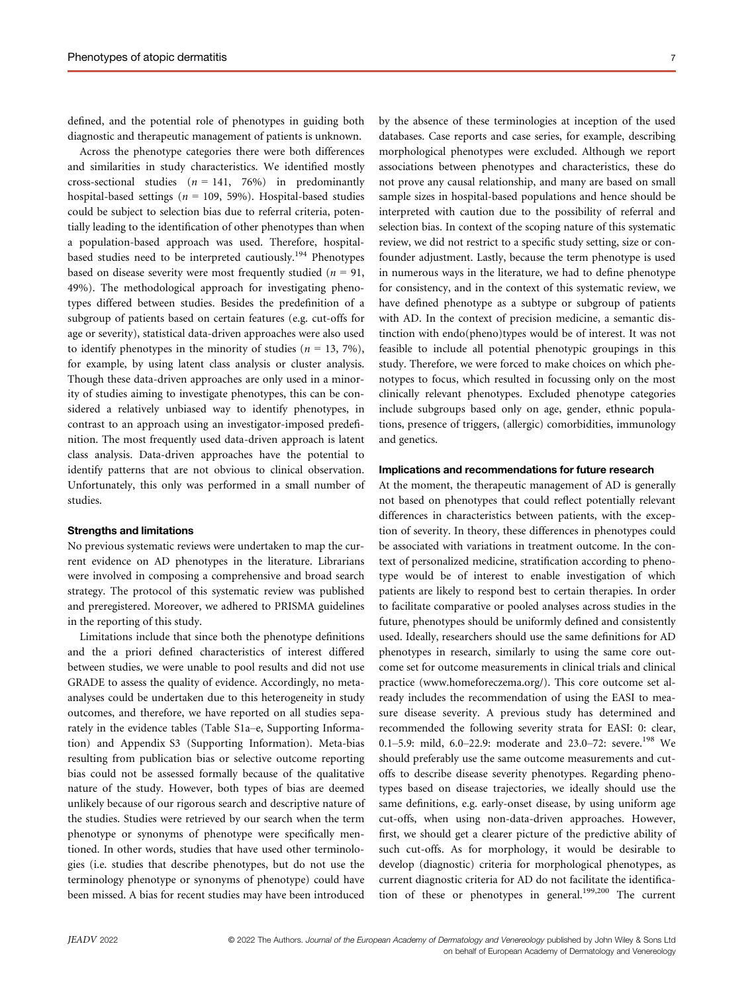defined, and the potential role of phenotypes in guiding both diagnostic and therapeutic management of patients is unknown.

Across the phenotype categories there were both differences and similarities in study characteristics. We identified mostly cross-sectional studies  $(n = 141, 76%)$  in predominantly hospital-based settings ( $n = 109, 59\%$ ). Hospital-based studies could be subject to selection bias due to referral criteria, potentially leading to the identification of other phenotypes than when a population-based approach was used. Therefore, hospitalbased studies need to be interpreted cautiously.<sup>194</sup> Phenotypes based on disease severity were most frequently studied ( $n = 91$ , 49%). The methodological approach for investigating phenotypes differed between studies. Besides the predefinition of a subgroup of patients based on certain features (e.g. cut-offs for age or severity), statistical data-driven approaches were also used to identify phenotypes in the minority of studies ( $n = 13, 7\%$ ), for example, by using latent class analysis or cluster analysis. Though these data-driven approaches are only used in a minority of studies aiming to investigate phenotypes, this can be considered a relatively unbiased way to identify phenotypes, in contrast to an approach using an investigator-imposed predefinition. The most frequently used data-driven approach is latent class analysis. Data-driven approaches have the potential to identify patterns that are not obvious to clinical observation. Unfortunately, this only was performed in a small number of studies.

# Strengths and limitations

No previous systematic reviews were undertaken to map the current evidence on AD phenotypes in the literature. Librarians were involved in composing a comprehensive and broad search strategy. The protocol of this systematic review was published and preregistered. Moreover, we adhered to PRISMA guidelines in the reporting of this study.

Limitations include that since both the phenotype definitions and the a priori defined characteristics of interest differed between studies, we were unable to pool results and did not use GRADE to assess the quality of evidence. Accordingly, no metaanalyses could be undertaken due to this heterogeneity in study outcomes, and therefore, we have reported on all studies separately in the evidence tables (Table S1a–e, Supporting Information) and Appendix S3 (Supporting Information). Meta-bias resulting from publication bias or selective outcome reporting bias could not be assessed formally because of the qualitative nature of the study. However, both types of bias are deemed unlikely because of our rigorous search and descriptive nature of the studies. Studies were retrieved by our search when the term phenotype or synonyms of phenotype were specifically mentioned. In other words, studies that have used other terminologies (i.e. studies that describe phenotypes, but do not use the terminology phenotype or synonyms of phenotype) could have been missed. A bias for recent studies may have been introduced by the absence of these terminologies at inception of the used databases. Case reports and case series, for example, describing morphological phenotypes were excluded. Although we report associations between phenotypes and characteristics, these do not prove any causal relationship, and many are based on small sample sizes in hospital-based populations and hence should be interpreted with caution due to the possibility of referral and selection bias. In context of the scoping nature of this systematic review, we did not restrict to a specific study setting, size or confounder adjustment. Lastly, because the term phenotype is used in numerous ways in the literature, we had to define phenotype for consistency, and in the context of this systematic review, we have defined phenotype as a subtype or subgroup of patients with AD. In the context of precision medicine, a semantic distinction with endo(pheno)types would be of interest. It was not feasible to include all potential phenotypic groupings in this study. Therefore, we were forced to make choices on which phenotypes to focus, which resulted in focussing only on the most clinically relevant phenotypes. Excluded phenotype categories include subgroups based only on age, gender, ethnic populations, presence of triggers, (allergic) comorbidities, immunology and genetics.

# Implications and recommendations for future research

At the moment, the therapeutic management of AD is generally not based on phenotypes that could reflect potentially relevant differences in characteristics between patients, with the exception of severity. In theory, these differences in phenotypes could be associated with variations in treatment outcome. In the context of personalized medicine, stratification according to phenotype would be of interest to enable investigation of which patients are likely to respond best to certain therapies. In order to facilitate comparative or pooled analyses across studies in the future, phenotypes should be uniformly defined and consistently used. Ideally, researchers should use the same definitions for AD phenotypes in research, similarly to using the same core outcome set for outcome measurements in clinical trials and clinical practice ([www.homeforeczema.org/](http://www.homeforeczema.org/)). This core outcome set already includes the recommendation of using the EASI to measure disease severity. A previous study has determined and recommended the following severity strata for EASI: 0: clear, 0.1-5.9: mild, 6.0-22.9: moderate and 23.0-72: severe.<sup>198</sup> We should preferably use the same outcome measurements and cutoffs to describe disease severity phenotypes. Regarding phenotypes based on disease trajectories, we ideally should use the same definitions, e.g. early-onset disease, by using uniform age cut-offs, when using non-data-driven approaches. However, first, we should get a clearer picture of the predictive ability of such cut-offs. As for morphology, it would be desirable to develop (diagnostic) criteria for morphological phenotypes, as current diagnostic criteria for AD do not facilitate the identification of these or phenotypes in general.<sup>199,200</sup> The current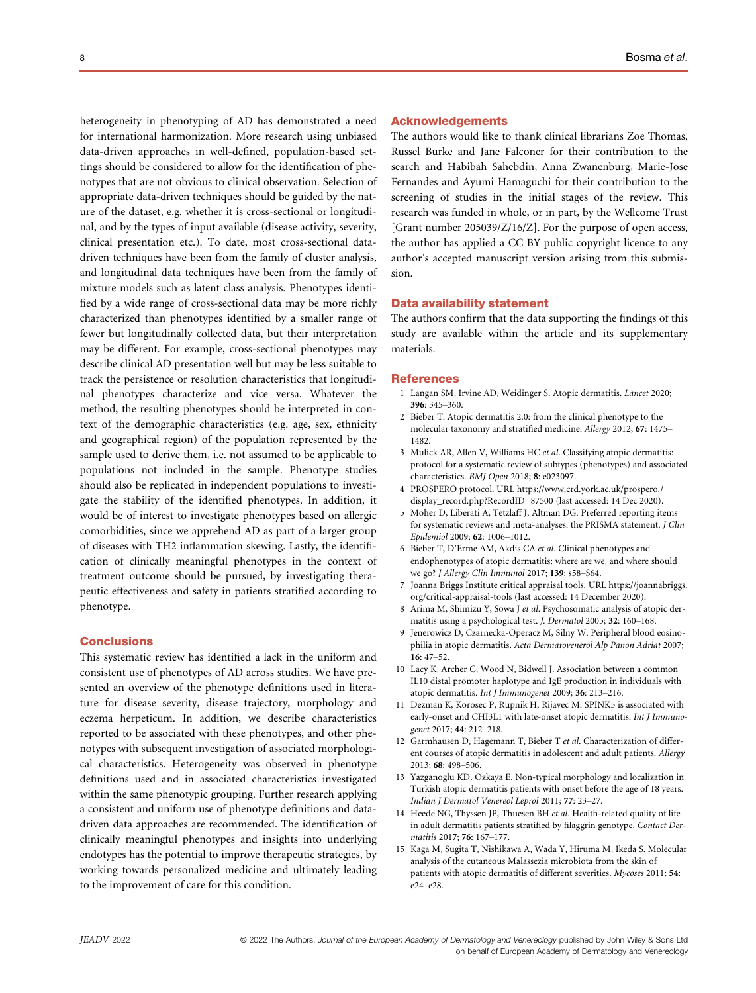heterogeneity in phenotyping of AD has demonstrated a need for international harmonization. More research using unbiased data-driven approaches in well-defined, population-based settings should be considered to allow for the identification of phenotypes that are not obvious to clinical observation. Selection of appropriate data-driven techniques should be guided by the nature of the dataset, e.g. whether it is cross-sectional or longitudinal, and by the types of input available (disease activity, severity, clinical presentation etc.). To date, most cross-sectional datadriven techniques have been from the family of cluster analysis, and longitudinal data techniques have been from the family of mixture models such as latent class analysis. Phenotypes identified by a wide range of cross-sectional data may be more richly characterized than phenotypes identified by a smaller range of fewer but longitudinally collected data, but their interpretation may be different. For example, cross-sectional phenotypes may describe clinical AD presentation well but may be less suitable to track the persistence or resolution characteristics that longitudinal phenotypes characterize and vice versa. Whatever the method, the resulting phenotypes should be interpreted in context of the demographic characteristics (e.g. age, sex, ethnicity and geographical region) of the population represented by the sample used to derive them, i.e. not assumed to be applicable to populations not included in the sample. Phenotype studies should also be replicated in independent populations to investigate the stability of the identified phenotypes. In addition, it would be of interest to investigate phenotypes based on allergic comorbidities, since we apprehend AD as part of a larger group of diseases with TH2 inflammation skewing. Lastly, the identification of clinically meaningful phenotypes in the context of treatment outcome should be pursued, by investigating therapeutic effectiveness and safety in patients stratified according to phenotype.

# **Conclusions**

This systematic review has identified a lack in the uniform and consistent use of phenotypes of AD across studies. We have presented an overview of the phenotype definitions used in literature for disease severity, disease trajectory, morphology and eczema herpeticum. In addition, we describe characteristics reported to be associated with these phenotypes, and other phenotypes with subsequent investigation of associated morphological characteristics. Heterogeneity was observed in phenotype definitions used and in associated characteristics investigated within the same phenotypic grouping. Further research applying a consistent and uniform use of phenotype definitions and datadriven data approaches are recommended. The identification of clinically meaningful phenotypes and insights into underlying endotypes has the potential to improve therapeutic strategies, by working towards personalized medicine and ultimately leading to the improvement of care for this condition.

### Acknowledgements

The authors would like to thank clinical librarians Zoe Thomas, Russel Burke and Jane Falconer for their contribution to the search and Habibah Sahebdin, Anna Zwanenburg, Marie-Jose Fernandes and Ayumi Hamaguchi for their contribution to the screening of studies in the initial stages of the review. This research was funded in whole, or in part, by the Wellcome Trust [Grant number 205039/Z/16/Z]. For the purpose of open access, the author has applied a CC BY public copyright licence to any author's accepted manuscript version arising from this submission.

### Data availability statement

The authors confirm that the data supporting the findings of this study are available within the article and its supplementary materials.

#### **References**

- 1 Langan SM, Irvine AD, Weidinger S. Atopic dermatitis. Lancet 2020; 396: 345–360.
- 2 Bieber T. Atopic dermatitis 2.0: from the clinical phenotype to the molecular taxonomy and stratified medicine. Allergy 2012; 67: 1475– 1482.
- 3 Mulick AR, Allen V, Williams HC et al. Classifying atopic dermatitis: protocol for a systematic review of subtypes (phenotypes) and associated characteristics. BMJ Open 2018; 8: e023097.
- 4 PROSPERO protocol. URL [https://www.crd.york.ac.uk/prospero./](https://www.crd.york.ac.uk/prospero./display_record.php?RecordID=87500) [display\\_record.php?RecordID=87500](https://www.crd.york.ac.uk/prospero./display_record.php?RecordID=87500) (last accessed: 14 Dec 2020).
- 5 Moher D, Liberati A, Tetzlaff J, Altman DG. Preferred reporting items for systematic reviews and meta-analyses: the PRISMA statement. J Clin Epidemiol 2009; 62: 1006–1012.
- 6 Bieber T, D'Erme AM, Akdis CA et al. Clinical phenotypes and endophenotypes of atopic dermatitis: where are we, and where should we go? J Allergy Clin Immunol 2017; 139: s58–S64.
- 7 Joanna Briggs Institute critical appraisal tools. URL [https://joannabriggs.](https://joannabriggs.org/critical-appraisal-tools) [org/critical-appraisal-tools](https://joannabriggs.org/critical-appraisal-tools) (last accessed: 14 December 2020).
- 8 Arima M, Shimizu Y, Sowa J et al. Psychosomatic analysis of atopic dermatitis using a psychological test. J. Dermatol 2005; 32: 160–168.
- 9 Jenerowicz D, Czarnecka-Operacz M, Silny W. Peripheral blood eosinophilia in atopic dermatitis. Acta Dermatovenerol Alp Panon Adriat 2007; 16: 47–52.
- 10 Lacy K, Archer C, Wood N, Bidwell J. Association between a common IL10 distal promoter haplotype and IgE production in individuals with atopic dermatitis. Int J Immunogenet 2009; 36: 213–216.
- 11 Dezman K, Korosec P, Rupnik H, Rijavec M. SPINK5 is associated with early-onset and CHI3L1 with late-onset atopic dermatitis. Int J Immunogenet 2017; 44: 212–218.
- 12 Garmhausen D, Hagemann T, Bieber T et al. Characterization of different courses of atopic dermatitis in adolescent and adult patients. Allergy 2013; 68: 498–506.
- 13 Yazganoglu KD, Ozkaya E. Non-typical morphology and localization in Turkish atopic dermatitis patients with onset before the age of 18 years. Indian J Dermatol Venereol Leprol 2011; 77: 23–27.
- 14 Heede NG, Thyssen JP, Thuesen BH et al. Health-related quality of life in adult dermatitis patients stratified by filaggrin genotype. Contact Dermatitis 2017; 76: 167–177.
- 15 Kaga M, Sugita T, Nishikawa A, Wada Y, Hiruma M, Ikeda S. Molecular analysis of the cutaneous Malassezia microbiota from the skin of patients with atopic dermatitis of different severities. Mycoses 2011; 54: e24–e28.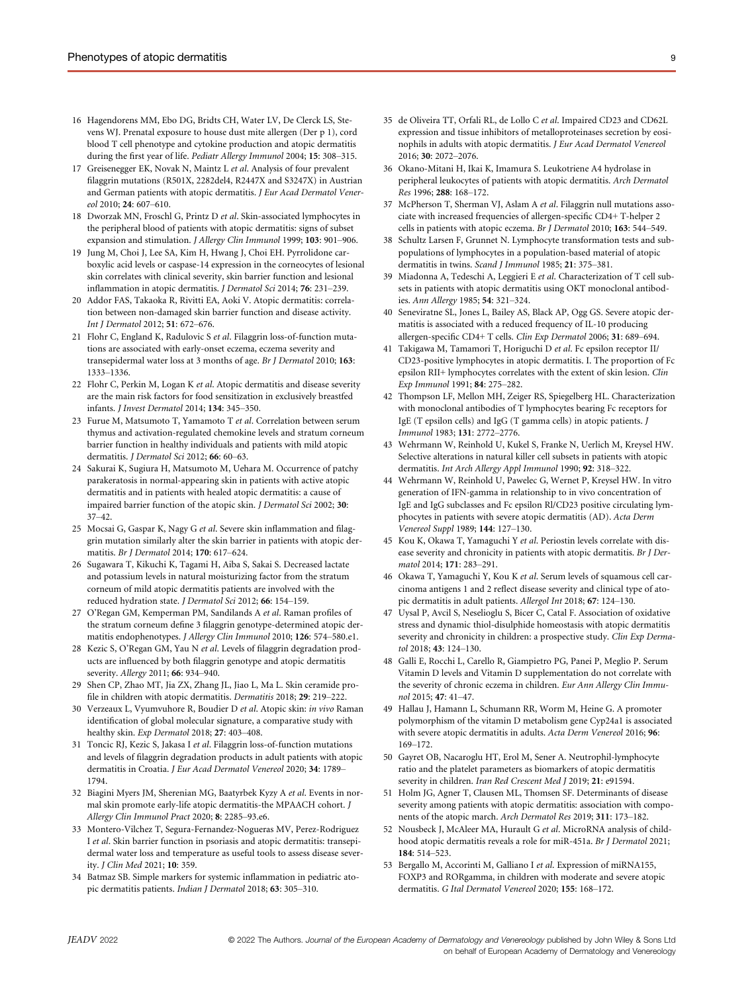- 16 Hagendorens MM, Ebo DG, Bridts CH, Water LV, De Clerck LS, Stevens WJ. Prenatal exposure to house dust mite allergen (Der p 1), cord blood T cell phenotype and cytokine production and atopic dermatitis during the first year of life. Pediatr Allergy Immunol 2004; 15: 308–315.
- 17 Greisenegger EK, Novak N, Maintz L et al. Analysis of four prevalent filaggrin mutations (R501X, 2282del4, R2447X and S3247X) in Austrian and German patients with atopic dermatitis. J Eur Acad Dermatol Venereol 2010; 24: 607–610.
- 18 Dworzak MN, Froschl G, Printz D et al. Skin-associated lymphocytes in the peripheral blood of patients with atopic dermatitis: signs of subset expansion and stimulation. J Allergy Clin Immunol 1999; 103: 901–906.
- 19 Jung M, Choi J, Lee SA, Kim H, Hwang J, Choi EH. Pyrrolidone carboxylic acid levels or caspase-14 expression in the corneocytes of lesional skin correlates with clinical severity, skin barrier function and lesional inflammation in atopic dermatitis. J Dermatol Sci 2014; 76: 231–239.
- 20 Addor FAS, Takaoka R, Rivitti EA, Aoki V. Atopic dermatitis: correlation between non-damaged skin barrier function and disease activity. Int J Dermatol 2012; 51: 672–676.
- 21 Flohr C, England K, Radulovic S et al. Filaggrin loss-of-function mutations are associated with early-onset eczema, eczema severity and transepidermal water loss at 3 months of age. Br J Dermatol 2010; 163: 1333–1336.
- 22 Flohr C, Perkin M, Logan K et al. Atopic dermatitis and disease severity are the main risk factors for food sensitization in exclusively breastfed infants. J Invest Dermatol 2014; 134: 345–350.
- 23 Furue M, Matsumoto T, Yamamoto T et al. Correlation between serum thymus and activation-regulated chemokine levels and stratum corneum barrier function in healthy individuals and patients with mild atopic dermatitis. J Dermatol Sci 2012; 66: 60-63.
- 24 Sakurai K, Sugiura H, Matsumoto M, Uehara M. Occurrence of patchy parakeratosis in normal-appearing skin in patients with active atopic dermatitis and in patients with healed atopic dermatitis: a cause of impaired barrier function of the atopic skin. *J Dermatol Sci* 2002; 30: 37–42.
- 25 Mocsai G, Gaspar K, Nagy G et al. Severe skin inflammation and filaggrin mutation similarly alter the skin barrier in patients with atopic dermatitis. Br J Dermatol 2014; 170: 617–624.
- 26 Sugawara T, Kikuchi K, Tagami H, Aiba S, Sakai S. Decreased lactate and potassium levels in natural moisturizing factor from the stratum corneum of mild atopic dermatitis patients are involved with the reduced hydration state. J Dermatol Sci 2012; 66: 154–159.
- 27 O'Regan GM, Kemperman PM, Sandilands A et al. Raman profiles of the stratum corneum define 3 filaggrin genotype-determined atopic dermatitis endophenotypes. J Allergy Clin Immunol 2010; 126: 574–580.e1.
- 28 Kezic S, O'Regan GM, Yau N et al. Levels of filaggrin degradation products are influenced by both filaggrin genotype and atopic dermatitis severity. Allergy 2011; 66: 934–940.
- 29 Shen CP, Zhao MT, Jia ZX, Zhang JL, Jiao L, Ma L. Skin ceramide profile in children with atopic dermatitis. Dermatitis 2018; 29: 219–222.
- 30 Verzeaux L, Vyumvuhore R, Boudier D et al. Atopic skin: in vivo Raman identification of global molecular signature, a comparative study with healthy skin. Exp Dermatol 2018; 27: 403–408.
- 31 Toncic RJ, Kezic S, Jakasa I et al. Filaggrin loss-of-function mutations and levels of filaggrin degradation products in adult patients with atopic dermatitis in Croatia. J Eur Acad Dermatol Venereol 2020; 34: 1789– 1794.
- 32 Biagini Myers JM, Sherenian MG, Baatyrbek Kyzy A et al. Events in normal skin promote early-life atopic dermatitis-the MPAACH cohort. J Allergy Clin Immunol Pract 2020; 8: 2285–93.e6.
- 33 Montero-Vilchez T, Segura-Fernandez-Nogueras MV, Perez-Rodriguez I et al. Skin barrier function in psoriasis and atopic dermatitis: transepidermal water loss and temperature as useful tools to assess disease severity. J Clin Med 2021; 10: 359.
- 34 Batmaz SB. Simple markers for systemic inflammation in pediatric atopic dermatitis patients. Indian J Dermatol 2018; 63: 305–310.
- 35 de Oliveira TT, Orfali RL, de Lollo C et al. Impaired CD23 and CD62L expression and tissue inhibitors of metalloproteinases secretion by eosinophils in adults with atopic dermatitis. J Eur Acad Dermatol Venereol 2016; 30: 2072–2076.
- 36 Okano-Mitani H, Ikai K, Imamura S. Leukotriene A4 hydrolase in peripheral leukocytes of patients with atopic dermatitis. Arch Dermatol Res 1996; 288: 168–172.
- 37 McPherson T, Sherman VJ, Aslam A et al. Filaggrin null mutations associate with increased frequencies of allergen-specific CD4+ T-helper 2 cells in patients with atopic eczema. Br J Dermatol 2010; 163: 544–549.
- 38 Schultz Larsen F, Grunnet N. Lymphocyte transformation tests and subpopulations of lymphocytes in a population-based material of atopic dermatitis in twins. Scand J Immunol 1985; 21: 375-381.
- 39 Miadonna A, Tedeschi A, Leggieri E et al. Characterization of T cell subsets in patients with atopic dermatitis using OKT monoclonal antibodies. Ann Allergy 1985; 54: 321–324.
- 40 Seneviratne SL, Jones L, Bailey AS, Black AP, Ogg GS. Severe atopic dermatitis is associated with a reduced frequency of IL-10 producing allergen-specific CD4+ T cells. Clin Exp Dermatol 2006; 31: 689-694.
- 41 Takigawa M, Tamamori T, Horiguchi D et al. Fc epsilon receptor II/ CD23-positive lymphocytes in atopic dermatitis. I. The proportion of Fc epsilon RII+ lymphocytes correlates with the extent of skin lesion. Clin Exp Immunol 1991; 84: 275–282.
- 42 Thompson LF, Mellon MH, Zeiger RS, Spiegelberg HL. Characterization with monoclonal antibodies of T lymphocytes bearing Fc receptors for IgE (T epsilon cells) and IgG (T gamma cells) in atopic patients. J Immunol 1983; 131: 2772–2776.
- 43 Wehrmann W, Reinhold U, Kukel S, Franke N, Uerlich M, Kreysel HW. Selective alterations in natural killer cell subsets in patients with atopic dermatitis. Int Arch Allergy Appl Immunol 1990; 92: 318–322.
- 44 Wehrmann W, Reinhold U, Pawelec G, Wernet P, Kreysel HW. In vitro generation of IFN-gamma in relationship to in vivo concentration of IgE and IgG subclasses and Fc epsilon Rl/CD23 positive circulating lymphocytes in patients with severe atopic dermatitis (AD). Acta Derm Venereol Suppl 1989; 144: 127–130.
- 45 Kou K, Okawa T, Yamaguchi Y et al. Periostin levels correlate with disease severity and chronicity in patients with atopic dermatitis. Br J Dermatol 2014; 171: 283–291.
- 46 Okawa T, Yamaguchi Y, Kou K et al. Serum levels of squamous cell carcinoma antigens 1 and 2 reflect disease severity and clinical type of atopic dermatitis in adult patients. Allergol Int 2018; 67: 124–130.
- 47 Uysal P, Avcil S, Neselioglu S, Bicer C, Catal F. Association of oxidative stress and dynamic thiol-disulphide homeostasis with atopic dermatitis severity and chronicity in children: a prospective study. Clin Exp Dermatol 2018; 43: 124–130.
- 48 Galli E, Rocchi L, Carello R, Giampietro PG, Panei P, Meglio P. Serum Vitamin D levels and Vitamin D supplementation do not correlate with the severity of chronic eczema in children. Eur Ann Allergy Clin Immunol 2015; 47: 41–47.
- 49 Hallau J, Hamann L, Schumann RR, Worm M, Heine G. A promoter polymorphism of the vitamin D metabolism gene Cyp24a1 is associated with severe atopic dermatitis in adults. Acta Derm Venereol 2016; 96: 169–172.
- 50 Gayret OB, Nacaroglu HT, Erol M, Sener A. Neutrophil-lymphocyte ratio and the platelet parameters as biomarkers of atopic dermatitis severity in children. Iran Red Crescent Med J 2019; 21: e91594.
- 51 Holm JG, Agner T, Clausen ML, Thomsen SF. Determinants of disease severity among patients with atopic dermatitis: association with components of the atopic march. Arch Dermatol Res 2019; 311: 173–182.
- 52 Nousbeck J, McAleer MA, Hurault G et al. MicroRNA analysis of childhood atopic dermatitis reveals a role for miR-451a. Br J Dermatol 2021; 184: 514–523.
- 53 Bergallo M, Accorinti M, Galliano I et al. Expression of miRNA155, FOXP3 and RORgamma, in children with moderate and severe atopic dermatitis. G Ital Dermatol Venereol 2020; 155: 168–172.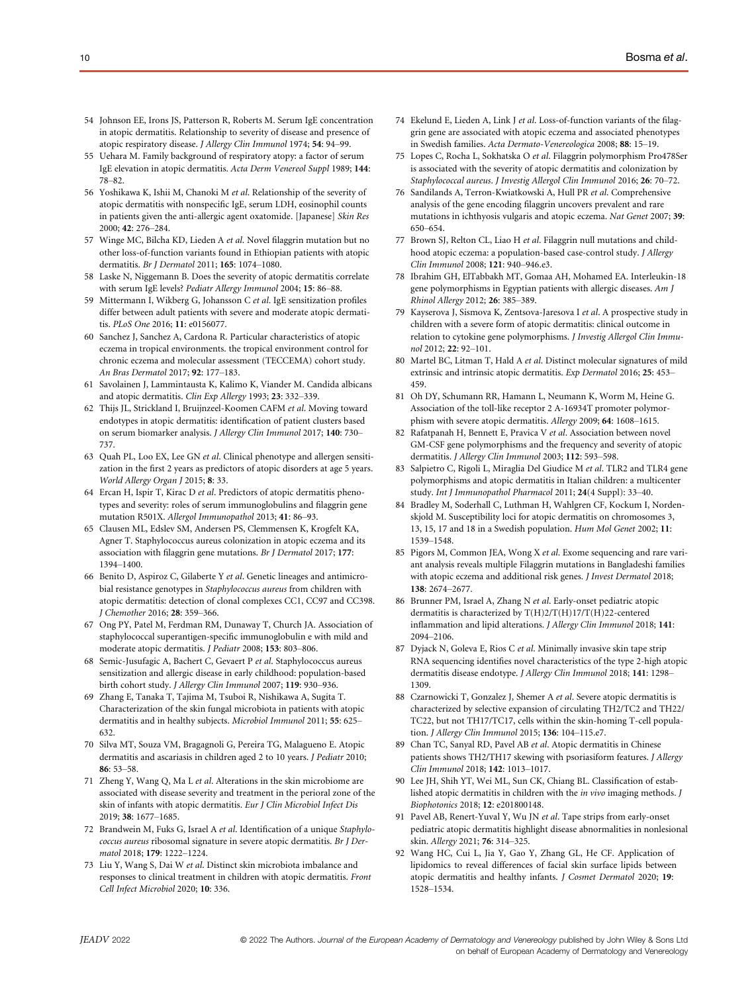- 54 Johnson EE, Irons JS, Patterson R, Roberts M. Serum IgE concentration in atopic dermatitis. Relationship to severity of disease and presence of atopic respiratory disease. J Allergy Clin Immunol 1974; 54: 94–99.
- 55 Uehara M. Family background of respiratory atopy: a factor of serum IgE elevation in atopic dermatitis. Acta Derm Venereol Suppl 1989; 144: 78–82.
- 56 Yoshikawa K, Ishii M, Chanoki M et al. Relationship of the severity of atopic dermatitis with nonspecific IgE, serum LDH, eosinophil counts in patients given the anti-allergic agent oxatomide. [Japanese] Skin Res 2000; 42: 276–284.
- 57 Winge MC, Bilcha KD, Lieden A et al. Novel filaggrin mutation but no other loss-of-function variants found in Ethiopian patients with atopic dermatitis. Br J Dermatol 2011; 165: 1074–1080.
- 58 Laske N, Niggemann B. Does the severity of atopic dermatitis correlate with serum IgE levels? Pediatr Allergy Immunol 2004; 15: 86–88.
- 59 Mittermann I, Wikberg G, Johansson C et al. IgE sensitization profiles differ between adult patients with severe and moderate atopic dermatitis. PLoS One 2016; 11: e0156077.
- 60 Sanchez J, Sanchez A, Cardona R. Particular characteristics of atopic eczema in tropical environments. the tropical environment control for chronic eczema and molecular assessment (TECCEMA) cohort study. An Bras Dermatol 2017; 92: 177–183.
- 61 Savolainen J, Lammintausta K, Kalimo K, Viander M. Candida albicans and atopic dermatitis. Clin Exp Allergy 1993; 23: 332–339.
- 62 Thijs JL, Strickland I, Bruijnzeel-Koomen CAFM et al. Moving toward endotypes in atopic dermatitis: identification of patient clusters based on serum biomarker analysis. J Allergy Clin Immunol 2017; 140: 730– 737.
- 63 Quah PL, Loo EX, Lee GN et al. Clinical phenotype and allergen sensitization in the first 2 years as predictors of atopic disorders at age 5 years. World Allergy Organ J 2015; 8: 33.
- 64 Ercan H, Ispir T, Kirac D et al. Predictors of atopic dermatitis phenotypes and severity: roles of serum immunoglobulins and filaggrin gene mutation R501X. Allergol Immunopathol 2013; 41: 86–93.
- 65 Clausen ML, Edslev SM, Andersen PS, Clemmensen K, Krogfelt KA, Agner T. Staphylococcus aureus colonization in atopic eczema and its association with filaggrin gene mutations. Br J Dermatol 2017; 177: 1394–1400.
- 66 Benito D, Aspiroz C, Gilaberte Y et al. Genetic lineages and antimicrobial resistance genotypes in Staphylococcus aureus from children with atopic dermatitis: detection of clonal complexes CC1, CC97 and CC398. J Chemother 2016; 28: 359–366.
- 67 Ong PY, Patel M, Ferdman RM, Dunaway T, Church JA. Association of staphylococcal superantigen-specific immunoglobulin e with mild and moderate atopic dermatitis. J Pediatr 2008; 153: 803–806.
- 68 Semic-Jusufagic A, Bachert C, Gevaert P et al. Staphylococcus aureus sensitization and allergic disease in early childhood: population-based birth cohort study. J Allergy Clin Immunol 2007; 119: 930–936.
- 69 Zhang E, Tanaka T, Tajima M, Tsuboi R, Nishikawa A, Sugita T. Characterization of the skin fungal microbiota in patients with atopic dermatitis and in healthy subjects. Microbiol Immunol 2011; 55: 625– 632.
- 70 Silva MT, Souza VM, Bragagnoli G, Pereira TG, Malagueno E. Atopic dermatitis and ascariasis in children aged 2 to 10 years. J Pediatr 2010;  $86:53-58$ .
- 71 Zheng Y, Wang Q, Ma L et al. Alterations in the skin microbiome are associated with disease severity and treatment in the perioral zone of the skin of infants with atopic dermatitis. Eur J Clin Microbiol Infect Dis 2019; 38: 1677–1685.
- 72 Brandwein M, Fuks G, Israel A et al. Identification of a unique Staphylococcus aureus ribosomal signature in severe atopic dermatitis. Br J Dermatol 2018; 179: 1222–1224.
- 73 Liu Y, Wang S, Dai W et al. Distinct skin microbiota imbalance and responses to clinical treatment in children with atopic dermatitis. Front Cell Infect Microbiol 2020; 10: 336.
- 74 Ekelund E, Lieden A, Link J et al. Loss-of-function variants of the filaggrin gene are associated with atopic eczema and associated phenotypes in Swedish families. Acta Dermato-Venereologica 2008; 88: 15–19.
- 75 Lopes C, Rocha L, Sokhatska O et al. Filaggrin polymorphism Pro478Ser is associated with the severity of atopic dermatitis and colonization by Staphylococcal aureus. J Investig Allergol Clin Immunol 2016; 26: 70–72.
- 76 Sandilands A, Terron-Kwiatkowski A, Hull PR et al. Comprehensive analysis of the gene encoding filaggrin uncovers prevalent and rare mutations in ichthyosis vulgaris and atopic eczema. Nat Genet 2007; 39: 650–654.
- 77 Brown SJ, Relton CL, Liao H et al. Filaggrin null mutations and childhood atopic eczema: a population-based case-control study. J Allergy Clin Immunol 2008; 121: 940–946.e3.
- 78 Ibrahim GH, ElTabbakh MT, Gomaa AH, Mohamed EA. Interleukin-18 gene polymorphisms in Egyptian patients with allergic diseases. Am J Rhinol Allergy 2012; 26: 385–389.
- 79 Kayserova J, Sismova K, Zentsova-Jaresova I et al. A prospective study in children with a severe form of atopic dermatitis: clinical outcome in relation to cytokine gene polymorphisms. J Investig Allergol Clin Immunol 2012; 22: 92–101.
- 80 Martel BC, Litman T, Hald A et al. Distinct molecular signatures of mild extrinsic and intrinsic atopic dermatitis. Exp Dermatol 2016; 25: 453– 459.
- 81 Oh DY, Schumann RR, Hamann L, Neumann K, Worm M, Heine G. Association of the toll-like receptor 2 A-16934T promoter polymorphism with severe atopic dermatitis. Allergy 2009; 64: 1608–1615.
- 82 Rafatpanah H, Bennett E, Pravica V et al. Association between novel GM-CSF gene polymorphisms and the frequency and severity of atopic dermatitis. J Allergy Clin Immunol 2003; 112: 593–598.
- 83 Salpietro C, Rigoli L, Miraglia Del Giudice M et al. TLR2 and TLR4 gene polymorphisms and atopic dermatitis in Italian children: a multicenter study. Int J Immunopathol Pharmacol 2011; 24(4 Suppl): 33–40.
- 84 Bradley M, Soderhall C, Luthman H, Wahlgren CF, Kockum I, Nordenskjold M. Susceptibility loci for atopic dermatitis on chromosomes 3, 13, 15, 17 and 18 in a Swedish population. Hum Mol Genet 2002; 11: 1539–1548.
- 85 Pigors M, Common JEA, Wong X et al. Exome sequencing and rare variant analysis reveals multiple Filaggrin mutations in Bangladeshi families with atopic eczema and additional risk genes. J Invest Dermatol 2018; 138: 2674–2677.
- 86 Brunner PM, Israel A, Zhang N et al. Early-onset pediatric atopic dermatitis is characterized by T(H)2/T(H)17/T(H)22-centered inflammation and lipid alterations. J Allergy Clin Immunol 2018; 141: 2094–2106.
- Dyjack N, Goleva E, Rios C et al. Minimally invasive skin tape strip RNA sequencing identifies novel characteristics of the type 2-high atopic dermatitis disease endotype. J Allergy Clin Immunol 2018; 141: 1298– 1309.
- 88 Czarnowicki T, Gonzalez J, Shemer A et al. Severe atopic dermatitis is characterized by selective expansion of circulating TH2/TC2 and TH22/ TC22, but not TH17/TC17, cells within the skin-homing T-cell population. J Allergy Clin Immunol 2015; 136: 104–115.e7.
- 89 Chan TC, Sanyal RD, Pavel AB et al. Atopic dermatitis in Chinese patients shows TH2/TH17 skewing with psoriasiform features. J Allergy Clin Immunol 2018; 142: 1013–1017.
- 90 Lee JH, Shih YT, Wei ML, Sun CK, Chiang BL. Classification of established atopic dermatitis in children with the in vivo imaging methods. J Biophotonics 2018; 12: e201800148.
- 91 Pavel AB, Renert-Yuval Y, Wu JN et al. Tape strips from early-onset pediatric atopic dermatitis highlight disease abnormalities in nonlesional skin. Allergy 2021; 76: 314–325.
- 92 Wang HC, Cui L, Jia Y, Gao Y, Zhang GL, He CF. Application of lipidomics to reveal differences of facial skin surface lipids between atopic dermatitis and healthy infants. J Cosmet Dermatol 2020; 19: 1528–1534.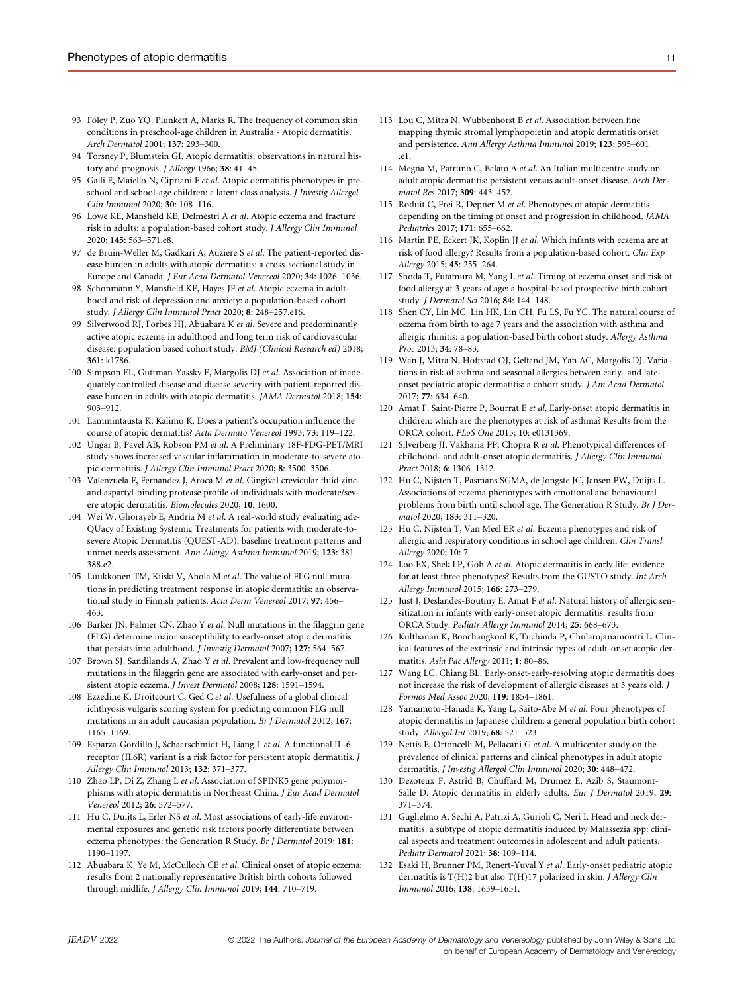- 93 Foley P, Zuo YQ, Plunkett A, Marks R. The frequency of common skin conditions in preschool-age children in Australia - Atopic dermatitis. Arch Dermatol 2001; 137: 293–300.
- 94 Torsney P, Blumstein GI. Atopic dermatitis. observations in natural history and prognosis. J Allergy 1966; 38: 41–45.
- 95 Galli E, Maiello N, Cipriani F et al. Atopic dermatitis phenotypes in preschool and school-age children: a latent class analysis. J Investig Allergol Clin Immunol 2020; 30: 108–116.
- 96 Lowe KE, Mansfield KE, Delmestri A et al. Atopic eczema and fracture risk in adults: a population-based cohort study. J Allergy Clin Immunol 2020; 145: 563–571.e8.
- 97 de Bruin-Weller M, Gadkari A, Auziere S et al. The patient-reported disease burden in adults with atopic dermatitis: a cross-sectional study in Europe and Canada. J Eur Acad Dermatol Venereol 2020; 34: 1026–1036.
- 98 Schonmann Y, Mansfield KE, Hayes JF et al. Atopic eczema in adulthood and risk of depression and anxiety: a population-based cohort study. J Allergy Clin Immunol Pract 2020; 8: 248–257.e16.
- Silverwood RJ, Forbes HJ, Abuabara K et al. Severe and predominantly active atopic eczema in adulthood and long term risk of cardiovascular disease: population based cohort study. BMJ (Clinical Research ed) 2018; 361: k1786.
- 100 Simpson EL, Guttman-Yassky E, Margolis DJ et al. Association of inadequately controlled disease and disease severity with patient-reported disease burden in adults with atopic dermatitis. JAMA Dermatol 2018; 154: 903–912.
- 101 Lammintausta K, Kalimo K. Does a patient's occupation influence the course of atopic dermatitis? Acta Dermato Venereol 1993; 73: 119–122.
- 102 Ungar B, Pavel AB, Robson PM et al. A Preliminary 18F-FDG-PET/MRI study shows increased vascular inflammation in moderate-to-severe atopic dermatitis. J Allergy Clin Immunol Pract 2020; 8: 3500-3506.
- 103 Valenzuela F, Fernandez J, Aroca M et al. Gingival crevicular fluid zincand aspartyl-binding protease profile of individuals with moderate/severe atopic dermatitis. Biomolecules 2020; 10: 1600.
- 104 Wei W, Ghorayeb E, Andria M et al. A real-world study evaluating ade-QUacy of Existing Systemic Treatments for patients with moderate-tosevere Atopic Dermatitis (QUEST-AD): baseline treatment patterns and unmet needs assessment. Ann Allergy Asthma Immunol 2019; 123: 381– 388.e2.
- 105 Luukkonen TM, Kiiski V, Ahola M et al. The value of FLG null mutations in predicting treatment response in atopic dermatitis: an observational study in Finnish patients. Acta Derm Venereol 2017; 97: 456– 463.
- 106 Barker JN, Palmer CN, Zhao Y et al. Null mutations in the filaggrin gene (FLG) determine major susceptibility to early-onset atopic dermatitis that persists into adulthood. J Investig Dermatol 2007; 127: 564–567.
- 107 Brown SJ, Sandilands A, Zhao Y et al. Prevalent and low-frequency null mutations in the filaggrin gene are associated with early-onset and persistent atopic eczema. J Invest Dermatol 2008; 128: 1591–1594.
- 108 Ezzedine K, Droitcourt C, Ged C et al. Usefulness of a global clinical ichthyosis vulgaris scoring system for predicting common FLG null mutations in an adult caucasian population. Br J Dermatol 2012; 167: 1165–1169.
- 109 Esparza-Gordillo J, Schaarschmidt H, Liang L et al. A functional IL-6 receptor (IL6R) variant is a risk factor for persistent atopic dermatitis. J Allergy Clin Immunol 2013; 132: 371–377.
- 110 Zhao LP, Di Z, Zhang L et al. Association of SPINK5 gene polymorphisms with atopic dermatitis in Northeast China. J Eur Acad Dermatol Venereol 2012; 26: 572–577.
- 111 Hu C, Duijts L, Erler NS et al. Most associations of early-life environmental exposures and genetic risk factors poorly differentiate between eczema phenotypes: the Generation R Study. Br J Dermatol 2019; 181: 1190–1197.
- 112 Abuabara K, Ye M, McCulloch CE et al. Clinical onset of atopic eczema: results from 2 nationally representative British birth cohorts followed through midlife. J Allergy Clin Immunol 2019; 144: 710–719.
- 113 Lou C, Mitra N, Wubbenhorst B et al. Association between fine mapping thymic stromal lymphopoietin and atopic dermatitis onset and persistence. Ann Allergy Asthma Immunol 2019; 123: 595–601 .e1.
- 114 Megna M, Patruno C, Balato A et al. An Italian multicentre study on adult atopic dermatitis: persistent versus adult-onset disease. Arch Dermatol Res 2017; 309: 443–452.
- 115 Roduit C, Frei R, Depner M et al. Phenotypes of atopic dermatitis depending on the timing of onset and progression in childhood. JAMA Pediatrics 2017; 171: 655–662.
- 116 Martin PE, Eckert JK, Koplin JJ et al. Which infants with eczema are at risk of food allergy? Results from a population-based cohort. Clin Exp Allergy 2015; 45: 255–264.
- 117 Shoda T, Futamura M, Yang L et al. Timing of eczema onset and risk of food allergy at 3 years of age: a hospital-based prospective birth cohort study. J Dermatol Sci 2016; 84: 144–148.
- 118 Shen CY, Lin MC, Lin HK, Lin CH, Fu LS, Fu YC. The natural course of eczema from birth to age 7 years and the association with asthma and allergic rhinitis: a population-based birth cohort study. Allergy Asthma Proc 2013; 34: 78–83.
- 119 Wan J, Mitra N, Hoffstad OJ, Gelfand JM, Yan AC, Margolis DJ. Variations in risk of asthma and seasonal allergies between early- and lateonset pediatric atopic dermatitis: a cohort study. J Am Acad Dermatol 2017; 77: 634–640.
- 120 Amat F, Saint-Pierre P, Bourrat E et al. Early-onset atopic dermatitis in children: which are the phenotypes at risk of asthma? Results from the ORCA cohort. PLoS One 2015; 10: e0131369.
- 121 Silverberg JI, Vakharia PP, Chopra R et al. Phenotypical differences of childhood- and adult-onset atopic dermatitis. J Allergy Clin Immunol Pract 2018; 6: 1306–1312.
- 122 Hu C, Nijsten T, Pasmans SGMA, de Jongste JC, Jansen PW, Duijts L. Associations of eczema phenotypes with emotional and behavioural problems from birth until school age. The Generation R Study. Br J Dermatol 2020; 183: 311–320.
- 123 Hu C, Nijsten T, Van Meel ER et al. Eczema phenotypes and risk of allergic and respiratory conditions in school age children. Clin Transl Allergy 2020; 10: 7.
- 124 Loo EX, Shek LP, Goh A et al. Atopic dermatitis in early life: evidence for at least three phenotypes? Results from the GUSTO study. Int Arch Allergy Immunol 2015; 166: 273–279.
- 125 Just J, Deslandes-Boutmy E, Amat F et al. Natural history of allergic sensitization in infants with early-onset atopic dermatitis: results from ORCA Study. Pediatr Allergy Immunol 2014; 25: 668–673.
- 126 Kulthanan K, Boochangkool K, Tuchinda P, Chularojanamontri L. Clinical features of the extrinsic and intrinsic types of adult-onset atopic dermatitis. Asia Pac Allergy 2011; 1: 80–86.
- 127 Wang LC, Chiang BL. Early-onset-early-resolving atopic dermatitis does not increase the risk of development of allergic diseases at 3 years old. J Formos Med Assoc 2020; 119: 1854–1861.
- 128 Yamamoto-Hanada K, Yang L, Saito-Abe M et al. Four phenotypes of atopic dermatitis in Japanese children: a general population birth cohort study. Allergol Int 2019; 68: 521–523.
- 129 Nettis E, Ortoncelli M, Pellacani G et al. A multicenter study on the prevalence of clinical patterns and clinical phenotypes in adult atopic dermatitis. J Investig Allergol Clin Immunol 2020; 30: 448–472.
- 130 Dezoteux F, Astrid B, Chuffard M, Drumez E, Azib S, Staumont-Salle D. Atopic dermatitis in elderly adults. Eur J Dermatol 2019; 29: 371–374.
- 131 Guglielmo A, Sechi A, Patrizi A, Gurioli C, Neri I. Head and neck dermatitis, a subtype of atopic dermatitis induced by Malassezia spp: clinical aspects and treatment outcomes in adolescent and adult patients. Pediatr Dermatol 2021; 38: 109–114.
- 132 Esaki H, Brunner PM, Renert-Yuval Y et al. Early-onset pediatric atopic dermatitis is T(H)2 but also T(H)17 polarized in skin. J Allergy Clin Immunol 2016; 138: 1639–1651.

JEADV 2022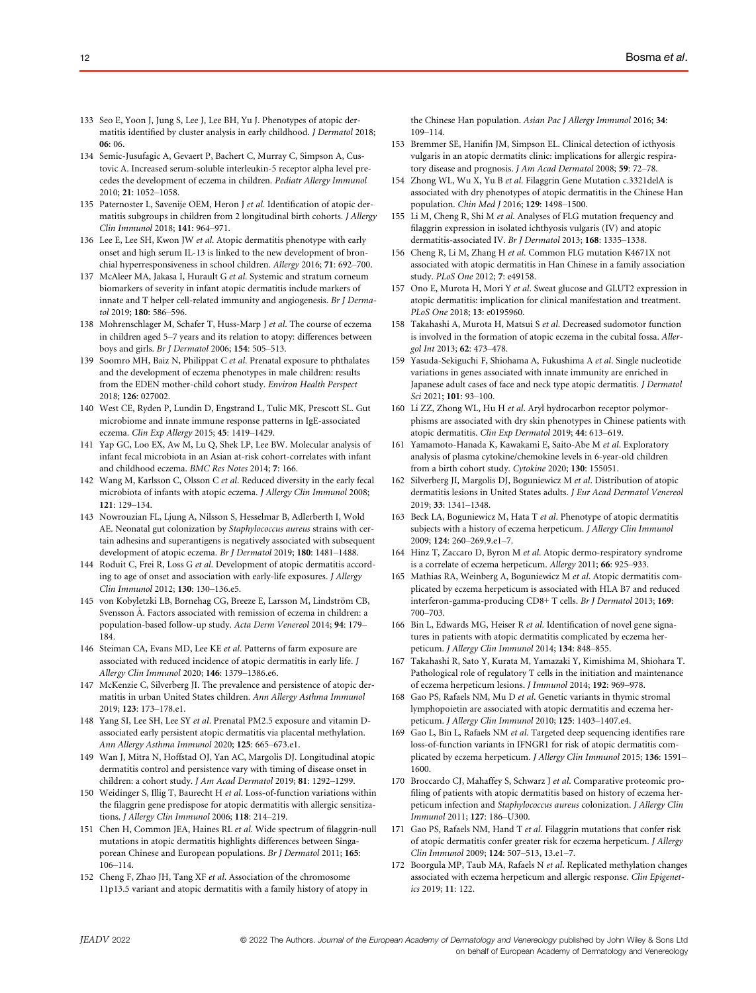- 133 Seo E, Yoon J, Jung S, Lee J, Lee BH, Yu J. Phenotypes of atopic dermatitis identified by cluster analysis in early childhood. J Dermatol 2018; 06: 06.
- 134 Semic-Jusufagic A, Gevaert P, Bachert C, Murray C, Simpson A, Custovic A. Increased serum-soluble interleukin-5 receptor alpha level precedes the development of eczema in children. Pediatr Allergy Immunol 2010; 21: 1052–1058.
- 135 Paternoster L, Savenije OEM, Heron J et al. Identification of atopic dermatitis subgroups in children from 2 longitudinal birth cohorts. J Allergy Clin Immunol 2018; 141: 964–971.
- 136 Lee E, Lee SH, Kwon JW et al. Atopic dermatitis phenotype with early onset and high serum IL-13 is linked to the new development of bronchial hyperresponsiveness in school children. Allergy 2016; 71: 692–700.
- 137 McAleer MA, Jakasa I, Hurault G et al. Systemic and stratum corneum biomarkers of severity in infant atopic dermatitis include markers of innate and T helper cell-related immunity and angiogenesis. Br J Dermatol 2019; 180: 586–596.
- 138 Mohrenschlager M, Schafer T, Huss-Marp J et al. The course of eczema in children aged 5–7 years and its relation to atopy: differences between boys and girls. Br J Dermatol 2006; 154: 505–513.
- 139 Soomro MH, Baiz N, Philippat C et al. Prenatal exposure to phthalates and the development of eczema phenotypes in male children: results from the EDEN mother-child cohort study. Environ Health Perspect 2018; 126: 027002.
- 140 West CE, Ryden P, Lundin D, Engstrand L, Tulic MK, Prescott SL. Gut microbiome and innate immune response patterns in IgE-associated eczema. Clin Exp Allergy 2015; 45: 1419–1429.
- 141 Yap GC, Loo EX, Aw M, Lu Q, Shek LP, Lee BW. Molecular analysis of infant fecal microbiota in an Asian at-risk cohort-correlates with infant and childhood eczema. BMC Res Notes 2014; 7: 166.
- 142 Wang M, Karlsson C, Olsson C et al. Reduced diversity in the early fecal microbiota of infants with atopic eczema. J Allergy Clin Immunol 2008; 121: 129–134.
- 143 Nowrouzian FL, Ljung A, Nilsson S, Hesselmar B, Adlerberth I, Wold AE. Neonatal gut colonization by Staphylococcus aureus strains with certain adhesins and superantigens is negatively associated with subsequent development of atopic eczema. Br J Dermatol 2019; 180: 1481–1488.
- 144 Roduit C, Frei R, Loss G et al. Development of atopic dermatitis according to age of onset and association with early-life exposures. J Allergy Clin Immunol 2012; 130: 130–136.e5.
- 145 von Kobyletzki LB, Bornehag CG, Breeze E, Larsson M, Lindström CB, Svensson Å. Factors associated with remission of eczema in children: a population-based follow-up study. Acta Derm Venereol 2014; 94: 179– 184.
- 146 Steiman CA, Evans MD, Lee KE et al. Patterns of farm exposure are associated with reduced incidence of atopic dermatitis in early life. J Allergy Clin Immunol 2020; 146: 1379–1386.e6.
- 147 McKenzie C, Silverberg JI. The prevalence and persistence of atopic dermatitis in urban United States children. Ann Allergy Asthma Immunol 2019; 123: 173–178.e1.
- 148 Yang SI, Lee SH, Lee SY et al. Prenatal PM2.5 exposure and vitamin Dassociated early persistent atopic dermatitis via placental methylation. Ann Allergy Asthma Immunol 2020; 125: 665–673.e1.
- 149 Wan J, Mitra N, Hoffstad OJ, Yan AC, Margolis DJ. Longitudinal atopic dermatitis control and persistence vary with timing of disease onset in children: a cohort study. J Am Acad Dermatol 2019; 81: 1292–1299.
- 150 Weidinger S, Illig T, Baurecht H et al. Loss-of-function variations within the filaggrin gene predispose for atopic dermatitis with allergic sensitizations. J Allergy Clin Immunol 2006; 118: 214–219.
- 151 Chen H, Common JEA, Haines RL et al. Wide spectrum of filaggrin-null mutations in atopic dermatitis highlights differences between Singaporean Chinese and European populations. Br J Dermatol 2011; 165: 106–114.
- 152 Cheng F, Zhao JH, Tang XF et al. Association of the chromosome 11p13.5 variant and atopic dermatitis with a family history of atopy in

the Chinese Han population. Asian Pac J Allergy Immunol 2016; 34: 109–114.

- 153 Bremmer SE, Hanifin JM, Simpson EL. Clinical detection of icthyosis vulgaris in an atopic dermatits clinic: implications for allergic respiratory disease and prognosis. J Am Acad Dermatol 2008; 59: 72–78.
- 154 Zhong WL, Wu X, Yu B et al. Filaggrin Gene Mutation c.3321delA is associated with dry phenotypes of atopic dermatitis in the Chinese Han population. Chin Med J 2016; 129: 1498–1500.
- 155 Li M, Cheng R, Shi M et al. Analyses of FLG mutation frequency and filaggrin expression in isolated ichthyosis vulgaris (IV) and atopic dermatitis-associated IV. Br J Dermatol 2013; 168: 1335–1338.
- 156 Cheng R, Li M, Zhang H et al. Common FLG mutation K4671X not associated with atopic dermatitis in Han Chinese in a family association study. PLoS One 2012; 7: e49158.
- 157 Ono E, Murota H, Mori Y et al. Sweat glucose and GLUT2 expression in atopic dermatitis: implication for clinical manifestation and treatment. PLoS One 2018; 13: e0195960.
- Takahashi A, Murota H, Matsui S et al. Decreased sudomotor function is involved in the formation of atopic eczema in the cubital fossa. Allergol Int 2013; 62: 473–478.
- 159 Yasuda-Sekiguchi F, Shiohama A, Fukushima A et al. Single nucleotide variations in genes associated with innate immunity are enriched in Japanese adult cases of face and neck type atopic dermatitis. J Dermatol Sci 2021; 101: 93–100.
- 160 Li ZZ, Zhong WL, Hu H et al. Aryl hydrocarbon receptor polymorphisms are associated with dry skin phenotypes in Chinese patients with atopic dermatitis. Clin Exp Dermatol 2019; 44: 613–619.
- 161 Yamamoto-Hanada K, Kawakami E, Saito-Abe M et al. Exploratory analysis of plasma cytokine/chemokine levels in 6-year-old children from a birth cohort study. Cytokine 2020; 130: 155051.
- 162 Silverberg JI, Margolis DJ, Boguniewicz M et al. Distribution of atopic dermatitis lesions in United States adults. J Eur Acad Dermatol Venereol 2019; 33: 1341–1348.
- 163 Beck LA, Boguniewicz M, Hata T et al. Phenotype of atopic dermatitis subjects with a history of eczema herpeticum. J Allergy Clin Immunol 2009; 124: 260–269.9.e1–7.
- 164 Hinz T, Zaccaro D, Byron M et al. Atopic dermo-respiratory syndrome is a correlate of eczema herpeticum. Allergy 2011; 66: 925–933.
- 165 Mathias RA, Weinberg A, Boguniewicz M et al. Atopic dermatitis complicated by eczema herpeticum is associated with HLA B7 and reduced interferon-gamma-producing CD8+ T cells. Br J Dermatol 2013; 169: 700–703.
- 166 Bin L, Edwards MG, Heiser R et al. Identification of novel gene signatures in patients with atopic dermatitis complicated by eczema herpeticum. J Allergy Clin Immunol 2014; 134: 848–855.
- 167 Takahashi R, Sato Y, Kurata M, Yamazaki Y, Kimishima M, Shiohara T. Pathological role of regulatory T cells in the initiation and maintenance of eczema herpeticum lesions. J Immunol 2014; 192: 969–978.
- 168 Gao PS, Rafaels NM, Mu D et al. Genetic variants in thymic stromal lymphopoietin are associated with atopic dermatitis and eczema herpeticum. J Allergy Clin Immunol 2010; 125: 1403–1407.e4.
- 169 Gao L, Bin L, Rafaels NM et al. Targeted deep sequencing identifies rare loss-of-function variants in IFNGR1 for risk of atopic dermatitis complicated by eczema herpeticum. J Allergy Clin Immunol 2015; 136: 1591– 1600.
- 170 Broccardo CJ, Mahaffey S, Schwarz J et al. Comparative proteomic profiling of patients with atopic dermatitis based on history of eczema herpeticum infection and Staphylococcus aureus colonization. J Allergy Clin Immunol 2011; 127: 186–U300.
- 171 Gao PS, Rafaels NM, Hand T et al. Filaggrin mutations that confer risk of atopic dermatitis confer greater risk for eczema herpeticum. J Allergy Clin Immunol 2009; 124: 507–513, 13.e1–7.
- 172 Boorgula MP, Taub MA, Rafaels N et al. Replicated methylation changes associated with eczema herpeticum and allergic response. Clin Epigenetics 2019; 11: 122.